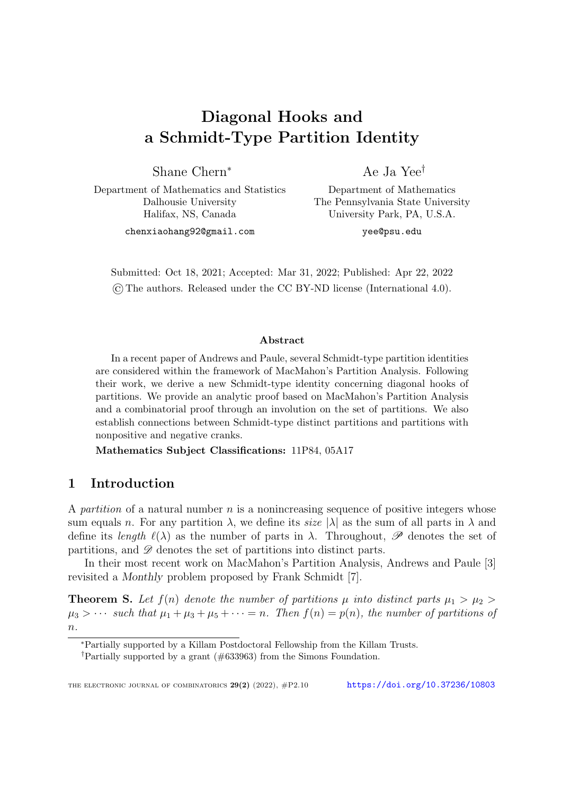# Diagonal Hooks and a Schmidt-Type Partition Identity

Shane Chern<sup>∗</sup>

Ae Ja Yee†

Department of Mathematics and Statistics Dalhousie University Halifax, NS, Canada

Department of Mathematics The Pennsylvania State University University Park, PA, U.S.A.

chenxiaohang92@gmail.com

yee@psu.edu

Submitted: Oct 18, 2021; Accepted: Mar 31, 2022; Published: Apr 22, 2022 ©The authors. Released under the CC BY-ND license (International 4.0).

#### Abstract

In a recent paper of Andrews and Paule, several Schmidt-type partition identities are considered within the framework of MacMahon's Partition Analysis. Following their work, we derive a new Schmidt-type identity concerning diagonal hooks of partitions. We provide an analytic proof based on MacMahon's Partition Analysis and a combinatorial proof through an involution on the set of partitions. We also establish connections between Schmidt-type distinct partitions and partitions with nonpositive and negative cranks.

Mathematics Subject Classifications: 11P84, 05A17

# 1 Introduction

A partition of a natural number  $n$  is a nonincreasing sequence of positive integers whose sum equals n. For any partition  $\lambda$ , we define its size  $|\lambda|$  as the sum of all parts in  $\lambda$  and define its length  $\ell(\lambda)$  as the number of parts in  $\lambda$ . Throughout, P denotes the set of partitions, and  $\mathscr D$  denotes the set of partitions into distinct parts.

In their most recent work on MacMahon's Partition Analysis, Andrews and Paule [\[3\]](#page-12-0) revisited a Monthly problem proposed by Frank Schmidt [\[7\]](#page-13-0).

<span id="page-0-0"></span>**Theorem S.** Let  $f(n)$  denote the number of partitions  $\mu$  into distinct parts  $\mu_1 > \mu_2 >$  $\mu_3 > \cdots$  such that  $\mu_1 + \mu_3 + \mu_5 + \cdots = n$ . Then  $f(n) = p(n)$ , the number of partitions of  $n$ .

<sup>∗</sup>Partially supported by a Killam Postdoctoral Fellowship from the Killam Trusts.

<sup>†</sup>Partially supported by a grant (#633963) from the Simons Foundation.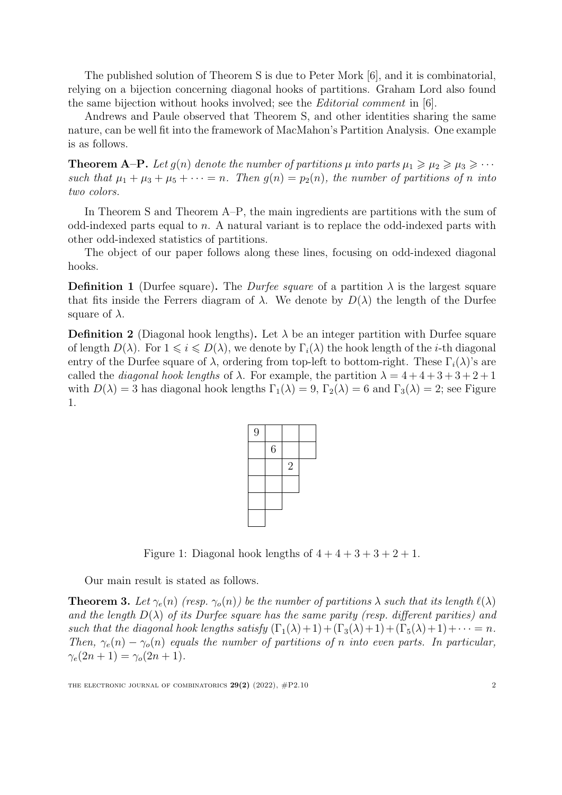The published solution of Theorem [S](#page-0-0) is due to Peter Mork [\[6\]](#page-13-1), and it is combinatorial, relying on a bijection concerning diagonal hooks of partitions. Graham Lord also found the same bijection without hooks involved; see the *Editorial comment* in  $[6]$ .

Andrews and Paule observed that Theorem [S,](#page-0-0) and other identities sharing the same nature, can be well fit into the framework of MacMahon's Partition Analysis. One example is as follows.

<span id="page-1-0"></span>**Theorem A–P.** Let  $g(n)$  denote the number of partitions  $\mu$  into parts  $\mu_1 \geq \mu_2 \geq \mu_3 \geq \cdots$ such that  $\mu_1 + \mu_3 + \mu_5 + \cdots = n$ . Then  $g(n) = p_2(n)$ , the number of partitions of n into two colors.

In Theorem [S](#page-0-0) and Theorem [A–P,](#page-1-0) the main ingredients are partitions with the sum of odd-indexed parts equal to n. A natural variant is to replace the odd-indexed parts with other odd-indexed statistics of partitions.

The object of our paper follows along these lines, focusing on odd-indexed diagonal hooks.

**Definition 1** (Durfee square). The *Durfee square* of a partition  $\lambda$  is the largest square that fits inside the Ferrers diagram of  $\lambda$ . We denote by  $D(\lambda)$  the length of the Durfee square of  $\lambda$ .

**Definition 2** (Diagonal hook lengths). Let  $\lambda$  be an integer partition with Durfee square of length  $D(\lambda)$ . For  $1 \leq i \leq D(\lambda)$ , we denote by  $\Gamma_i(\lambda)$  the hook length of the *i*-th diagonal entry of the Durfee square of  $\lambda$ , ordering from top-left to bottom-right. These  $\Gamma_i(\lambda)$ 's are called the *diagonal hook lengths* of  $\lambda$ . For example, the partition  $\lambda = 4 + 4 + 3 + 3 + 2 + 1$ with  $D(\lambda) = 3$  has diagonal hook lengths  $\Gamma_1(\lambda) = 9$ ,  $\Gamma_2(\lambda) = 6$  and  $\Gamma_3(\lambda) = 2$ ; see Figure [1.](#page-1-1)

| 9 |                  |                |  |
|---|------------------|----------------|--|
|   | $\boldsymbol{6}$ |                |  |
|   |                  | $\overline{2}$ |  |
|   |                  |                |  |
|   |                  |                |  |
|   |                  |                |  |

Figure 1: Diagonal hook lengths of  $4+4+3+3+2+1$ .

<span id="page-1-1"></span>Our main result is stated as follows.

<span id="page-1-2"></span>**Theorem 3.** Let  $\gamma_e(n)$  (resp.  $\gamma_o(n)$ ) be the number of partitions  $\lambda$  such that its length  $\ell(\lambda)$ and the length  $D(\lambda)$  of its Durfee square has the same parity (resp. different parities) and such that the diagonal hook lengths satisfy  $(\Gamma_1(\lambda)+1) + (\Gamma_3(\lambda)+1) + (\Gamma_5(\lambda)+1) + \cdots = n$ . Then,  $\gamma_e(n) - \gamma_o(n)$  equals the number of partitions of n into even parts. In particular,  $\gamma_e(2n+1) = \gamma_o(2n+1).$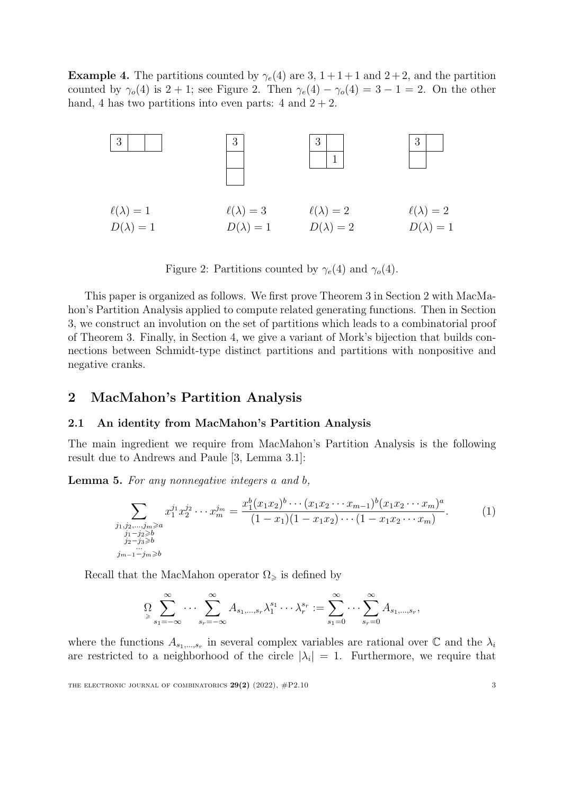**Example 4.** The partitions counted by  $\gamma_e(4)$  are 3,  $1+1+1$  and  $2+2$ , and the partition counted by  $\gamma_o(4)$  is  $2 + 1$ ; see Figure [2.](#page-2-0) Then  $\gamma_e(4) - \gamma_o(4) = 3 - 1 = 2$ . On the other hand, 4 has two partitions into even parts: 4 and  $2 + 2$ .



Figure 2: Partitions counted by  $\gamma_e(4)$  and  $\gamma_o(4)$ .

<span id="page-2-0"></span>This paper is organized as follows. We first prove Theorem [3](#page-1-2) in Section [2](#page-2-1) with MacMahon's Partition Analysis applied to compute related generating functions. Then in Section [3,](#page-5-0) we construct an involution on the set of partitions which leads to a combinatorial proof of Theorem [3.](#page-1-2) Finally, in Section [4,](#page-9-0) we give a variant of Mork's bijection that builds connections between Schmidt-type distinct partitions and partitions with nonpositive and negative cranks.

## <span id="page-2-1"></span>2 MacMahon's Partition Analysis

#### 2.1 An identity from MacMahon's Partition Analysis

The main ingredient we require from MacMahon's Partition Analysis is the following result due to Andrews and Paule [\[3,](#page-12-0) Lemma 3.1]:

<span id="page-2-3"></span>Lemma 5. For any nonnegative integers a and b,

$$
\sum_{\substack{j_1,j_2,\dots,j_m\geqslant a\\j_1-j_2\geqslant b\\j_2-j_3\geqslant b\\j_{m-1}-j_m\geqslant b}} x_1^{j_1} x_2^{j_2} \cdots x_m^{j_m} = \frac{x_1^b (x_1 x_2)^b \cdots (x_1 x_2 \cdots x_{m-1})^b (x_1 x_2 \cdots x_m)^a}{(1-x_1)(1-x_1 x_2) \cdots (1-x_1 x_2 \cdots x_m)}.
$$
\n(1)

Recall that the MacMahon operator  $\Omega_{\geq}$  is defined by

<span id="page-2-2"></span>
$$
\Omega \sum_{s_1 = -\infty}^{\infty} \cdots \sum_{s_r = -\infty}^{\infty} A_{s_1, \ldots, s_r} \lambda_1^{s_1} \cdots \lambda_r^{s_r} := \sum_{s_1 = 0}^{\infty} \cdots \sum_{s_r = 0}^{\infty} A_{s_1, \ldots, s_r},
$$

where the functions  $A_{s_1,\dots,s_r}$  in several complex variables are rational over  $\mathbb C$  and the  $\lambda_i$ are restricted to a neighborhood of the circle  $|\lambda_i| = 1$ . Furthermore, we require that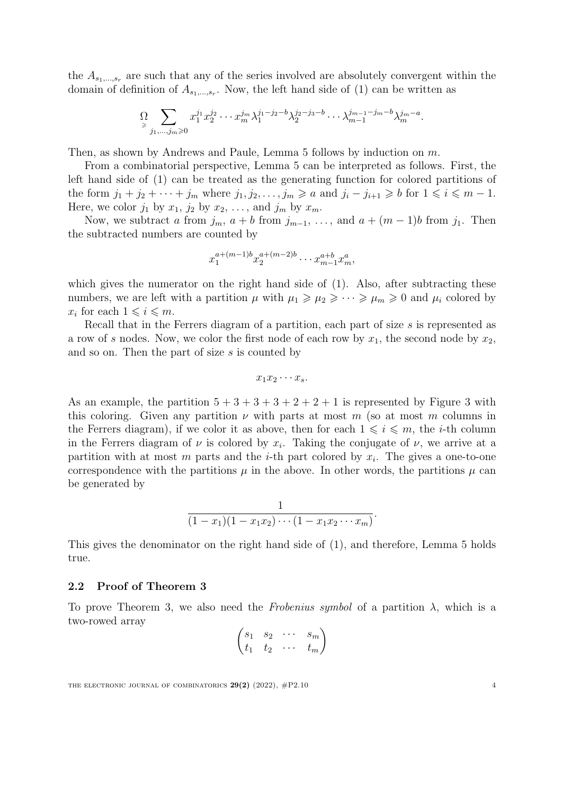the  $A_{s_1,\,\dots,s_r}$  are such that any of the series involved are absolutely convergent within the domain of definition of  $A_{s_1,\ldots,s_r}$ . Now, the left hand side of [\(1\)](#page-2-2) can be written as

$$
\sum_{j_1,...,j_m \geq 0} x_1^{j_1} x_2^{j_2} \cdots x_m^{j_m} \lambda_1^{j_1-j_2-b} \lambda_2^{j_2-j_3-b} \cdots \lambda_{m-1}^{j_{m-1}-j_m-b} \lambda_m^{j_{m}-a}.
$$

Then, as shown by Andrews and Paule, Lemma [5](#page-2-3) follows by induction on m.

From a combinatorial perspective, Lemma [5](#page-2-3) can be interpreted as follows. First, the left hand side of [\(1\)](#page-2-2) can be treated as the generating function for colored partitions of the form  $j_1 + j_2 + \cdots + j_m$  where  $j_1, j_2, \ldots, j_m \geq a$  and  $j_i - j_{i+1} \geq b$  for  $1 \leq i \leq m - 1$ . Here, we color  $j_1$  by  $x_1$ ,  $j_2$  by  $x_2$ , ..., and  $j_m$  by  $x_m$ .

Now, we subtract a from  $j_m$ ,  $a + b$  from  $j_{m-1}$ , ..., and  $a + (m-1)b$  from  $j_1$ . Then the subtracted numbers are counted by

$$
x_1^{a+(m-1)b} x_2^{a+(m-2)b} \cdots x_{m-1}^{a+b} x_m^a,
$$

which gives the numerator on the right hand side of  $(1)$ . Also, after subtracting these numbers, we are left with a partition  $\mu$  with  $\mu_1 \geq \mu_2 \geq \cdots \geq \mu_m \geq 0$  and  $\mu_i$  colored by  $x_i$  for each  $1 \leqslant i \leqslant m$ .

Recall that in the Ferrers diagram of a partition, each part of size s is represented as a row of s nodes. Now, we color the first node of each row by  $x_1$ , the second node by  $x_2$ , and so on. Then the part of size s is counted by

$$
x_1x_2\cdots x_s.
$$

As an example, the partition  $5 + 3 + 3 + 3 + 2 + 2 + 1$  $5 + 3 + 3 + 3 + 2 + 2 + 1$  $5 + 3 + 3 + 3 + 2 + 2 + 1$  is represented by Figure 3 with this coloring. Given any partition  $\nu$  with parts at most m (so at most m columns in the Ferrers diagram), if we color it as above, then for each  $1 \leq i \leq m$ , the *i*-th column in the Ferrers diagram of  $\nu$  is colored by  $x_i$ . Taking the conjugate of  $\nu$ , we arrive at a partition with at most  $m$  parts and the *i*-th part colored by  $x_i$ . The gives a one-to-one correspondence with the partitions  $\mu$  in the above. In other words, the partitions  $\mu$  can be generated by

$$
\frac{1}{(1-x_1)(1-x_1x_2)\cdots(1-x_1x_2\cdots x_m)}.
$$

This gives the denominator on the right hand side of [\(1\)](#page-2-2), and therefore, Lemma [5](#page-2-3) holds true.

#### 2.2 Proof of Theorem [3](#page-1-2)

To prove Theorem [3,](#page-1-2) we also need the Frobenius symbol of a partition  $\lambda$ , which is a two-rowed array

$$
\begin{pmatrix} s_1 & s_2 & \cdots & s_m \\ t_1 & t_2 & \cdots & t_m \end{pmatrix}
$$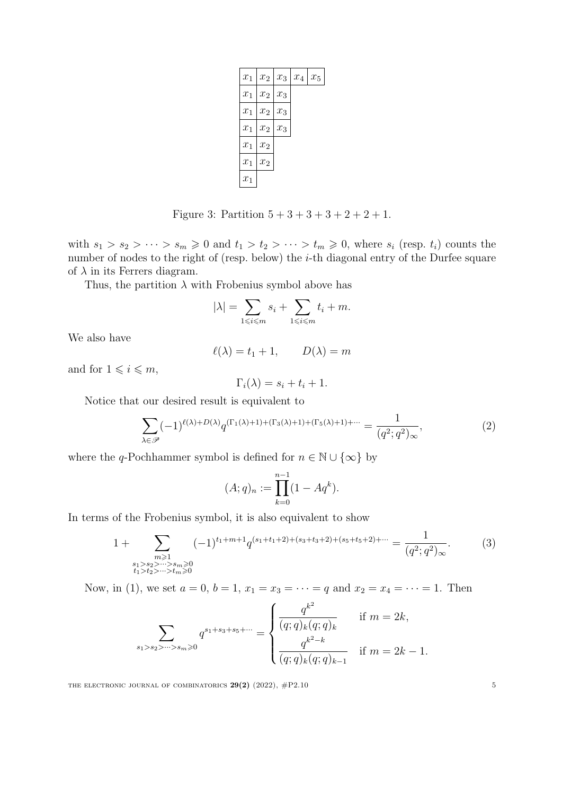| $x_1$              | $x_2$   $x_3$      |       | $x_4$ | $x_5$ |
|--------------------|--------------------|-------|-------|-------|
| $x_1$              | $\boldsymbol{x}_2$ | $x_3$ |       |       |
| $\boldsymbol{x}_1$ | $\boldsymbol{x}_2$ | $x_3$ |       |       |
| $x_1$              | $\boldsymbol{x}_2$ | $x_3$ |       |       |
| $x_1$              | $\boldsymbol{x}_2$ |       |       |       |
| $x_1$              | $\boldsymbol{x}_2$ |       |       |       |
| $x_1$              |                    |       |       |       |

Figure 3: Partition  $5 + 3 + 3 + 3 + 2 + 2 + 1$ .

<span id="page-4-0"></span>with  $s_1 > s_2 > \cdots > s_m \geq 0$  and  $t_1 > t_2 > \cdots > t_m \geq 0$ , where  $s_i$  (resp.  $t_i$ ) counts the number of nodes to the right of (resp. below) the *i*-th diagonal entry of the Durfee square of  $\lambda$  in its Ferrers diagram.

Thus, the partition  $\lambda$  with Frobenius symbol above has

$$
|\lambda| = \sum_{1 \le i \le m} s_i + \sum_{1 \le i \le m} t_i + m.
$$

We also have

$$
\ell(\lambda) = t_1 + 1, \qquad D(\lambda) = m
$$

and for  $1 \leq i \leq m$ ,

$$
\Gamma_i(\lambda) = s_i + t_i + 1.
$$

Notice that our desired result is equivalent to

$$
\sum_{\lambda \in \mathcal{P}} (-1)^{\ell(\lambda) + D(\lambda)} q^{(\Gamma_1(\lambda) + 1) + (\Gamma_3(\lambda) + 1) + (\Gamma_5(\lambda) + 1) + \cdots} = \frac{1}{(q^2; q^2)_{\infty}},
$$
\n(2)

<span id="page-4-1"></span>).

where the q-Pochhammer symbol is defined for  $n \in \mathbb{N} \cup \{\infty\}$  by

$$
(A;q)_n := \prod_{k=0}^{n-1} (1 - Aq^k)
$$

In terms of the Frobenius symbol, it is also equivalent to show

$$
1 + \sum_{\substack{m \geq 1 \\ s_1 > s_2 > \dots > s_m \geq 0 \\ t_1 > t_2 > \dots > t_m \geq 0}} (-1)^{t_1 + m + 1} q^{(s_1 + t_1 + 2) + (s_3 + t_3 + 2) + (s_5 + t_5 + 2) + \dots} = \frac{1}{(q^2; q^2)_{\infty}}.
$$
 (3)

Now, in [\(1\)](#page-2-2), we set  $a = 0$ ,  $b = 1$ ,  $x_1 = x_3 = \cdots = q$  and  $x_2 = x_4 = \cdots = 1$ . Then

$$
\sum_{s_1>s_2>\cdots>s_m\geqslant 0} q^{s_1+s_3+s_5+\cdots} = \begin{cases} \frac{q^{k^2}}{(q;q)_k(q;q)_k} & \text{if } m=2k, \\ \frac{q^{k^2-k}}{(q;q)_k(q;q)_{k-1}} & \text{if } m=2k-1. \end{cases}
$$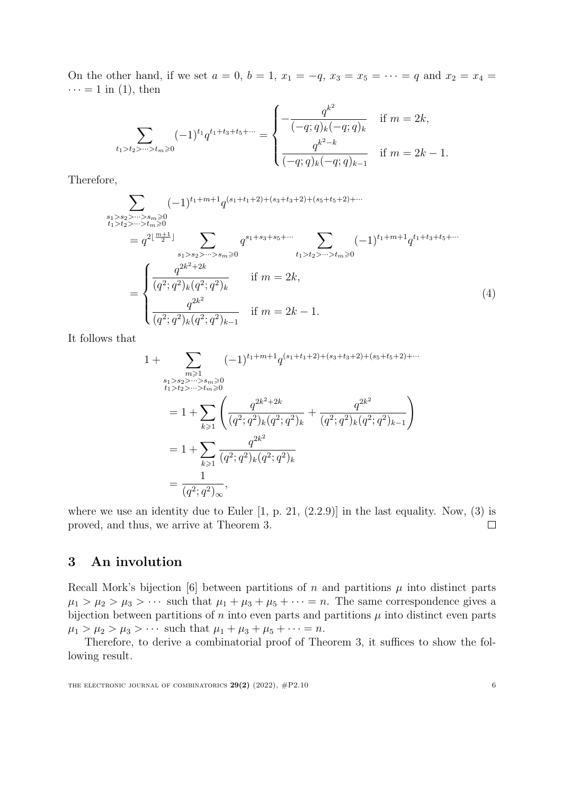On the other hand, if we set  $a = 0$ ,  $b = 1$ ,  $x_1 = -q$ ,  $x_3 = x_5 = \cdots = q$  and  $x_2 = x_4 =$  $\cdots = 1$  in [\(1\)](#page-2-2), then

$$
\sum_{t_1>t_2>\cdots>t_m\geqslant 0}(-1)^{t_1}q^{t_1+t_3+t_5+\cdots}=\begin{cases}\n-\frac{q^{k^2}}{(-q;q)_k(-q;q)_k} & \text{if } m=2k, \\
\frac{q^{k^2-k}}{(-q;q)_k(-q;q)_{k-1}} & \text{if } m=2k-1.\n\end{cases}
$$

Therefore,

$$
\sum_{\substack{s_1>s_2>\cdots>s_m\geq 0\\t_1>t_2>\cdots>t_m\geq 0\\t_1>t_2>\cdots>t_m\geq 0\\t_1>t_2>\cdots>t_m\geq 0}} (-1)^{t_1+m+1} q^{(s_1+t_1+2)+(s_3+t_3+2)+(s_5+t_5+2)+\cdots}
$$
\n
$$
= q^{2\lfloor \frac{m+1}{2} \rfloor} \sum_{\substack{s_1>s_2>\cdots>s_m\geq 0\\s_1+s_3+s_5+\cdots\\t_1>t_2>\cdots>t_m\geq 0}} q^{s_1+s_3+s_5+\cdots} \sum_{t_1>t_2>\cdots>t_m\geq 0} (-1)^{t_1+m+1} q^{t_1+t_3+t_5+\cdots}
$$
\n
$$
= \begin{cases}\n\frac{q^{2k^2+2k}}{(q^2;q^2)_k(q^2;q^2)_k} & \text{if } m=2k,\\
\frac{q^{2k^2}}{(q^2;q^2)_k(q^2;q^2)_{k-1}} & \text{if } m=2k-1.\n\end{cases} (4)
$$

It follows that

<span id="page-5-1"></span>
$$
1 + \sum_{\substack{m \geq 1 \\ i_1 > s_2 > \dots > s_m \geq 0 \\ i_1 > i_2 > \dots > t_m \geq 0}} (-1)^{t_1 + m + 1} q^{(s_1 + t_1 + 2) + (s_3 + t_3 + 2) + (s_5 + t_5 + 2) + \dots}
$$
  
\n
$$
= 1 + \sum_{k \geq 1} \left( \frac{q^{2k^2 + 2k}}{(q^2; q^2)_k (q^2; q^2)_k} + \frac{q^{2k^2}}{(q^2; q^2)_k (q^2; q^2)_{k-1}} \right)
$$
  
\n
$$
= 1 + \sum_{k \geq 1} \frac{q^{2k^2}}{(q^2; q^2)_k (q^2; q^2)_k}
$$
  
\n
$$
= \frac{1}{(q^2; q^2)_{\infty}},
$$

where we use an identity due to Euler  $[1, p. 21, (2.2.9)]$  in the last equality. Now,  $(3)$  is proved, and thus, we arrive at Theorem [3.](#page-1-2)  $\Box$ 

## <span id="page-5-0"></span>3 An involution

Recall Mork's bijection [\[6\]](#page-13-1) between partitions of n and partitions  $\mu$  into distinct parts  $\mu_1 > \mu_2 > \mu_3 > \cdots$  such that  $\mu_1 + \mu_3 + \mu_5 + \cdots = n$ . The same correspondence gives a bijection between partitions of n into even parts and partitions  $\mu$  into distinct even parts  $\mu_1 > \mu_2 > \mu_3 > \cdots$  such that  $\mu_1 + \mu_3 + \mu_5 + \cdots = n$ .

Therefore, to derive a combinatorial proof of Theorem [3,](#page-1-2) it suffices to show the following result.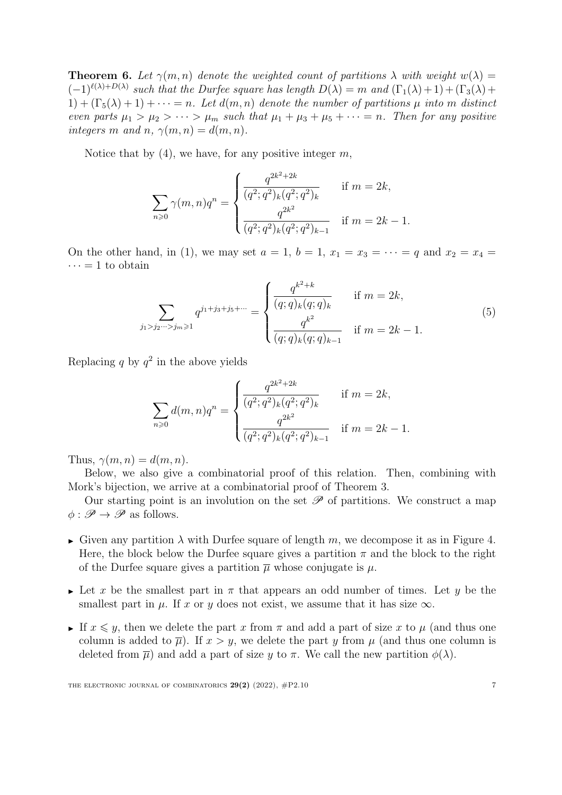<span id="page-6-0"></span>**Theorem 6.** Let  $\gamma(m,n)$  denote the weighted count of partitions  $\lambda$  with weight  $w(\lambda)$  $(-1)^{\ell(\lambda)+D(\lambda)}$  such that the Durfee square has length  $D(\lambda) = m$  and  $(\Gamma_1(\lambda)+1) + (\Gamma_3(\lambda)+1)$  $1) + (\Gamma_5(\lambda) + 1) + \cdots = n$ . Let  $d(m, n)$  denote the number of partitions  $\mu$  into m distinct even parts  $\mu_1 > \mu_2 > \cdots > \mu_m$  such that  $\mu_1 + \mu_3 + \mu_5 + \cdots = n$ . Then for any positive integers m and n,  $\gamma(m, n) = d(m, n)$ .

Notice that by  $(4)$ , we have, for any positive integer m,

$$
\sum_{n\geqslant 0} \gamma(m,n)q^n = \begin{cases} \frac{q^{2k^2+2k}}{(q^2;q^2)_k (q^2;q^2)_k} & \text{if } m=2k, \\ \frac{q^{2k^2}}{(q^2;q^2)_k (q^2;q^2)_{k-1}} & \text{if } m=2k-1. \end{cases}
$$

On the other hand, in [\(1\)](#page-2-2), we may set  $a = 1$ ,  $b = 1$ ,  $x_1 = x_3 = \cdots = q$  and  $x_2 = x_4 =$  $\cdots = 1$  to obtain

$$
\sum_{j_1 > j_2 \dots > j_m \ge 1} q^{j_1 + j_3 + j_5 + \dots} = \begin{cases} \frac{q^{k^2 + k}}{(q; q)_k (q; q)_k} & \text{if } m = 2k, \\ \frac{q^{k^2}}{(q; q)_k (q; q)_{k-1}} & \text{if } m = 2k - 1. \end{cases} \tag{5}
$$

Replacing q by  $q^2$  in the above yields

<span id="page-6-1"></span>
$$
\sum_{n\geqslant 0} d(m,n)q^n = \begin{cases} \frac{q^{2k^2+2k}}{(q^2;q^2)_k(q^2;q^2)_k} & \text{if } m=2k, \\ \frac{q^{2k^2}}{(q^2;q^2)_k(q^2;q^2)_{k-1}} & \text{if } m=2k-1. \end{cases}
$$

Thus,  $\gamma(m, n) = d(m, n)$ .

Below, we also give a combinatorial proof of this relation. Then, combining with Mork's bijection, we arrive at a combinatorial proof of Theorem [3.](#page-1-2)

Our starting point is an involution on the set  $\mathscr P$  of partitions. We construct a map  $\phi : \mathscr{P} \to \mathscr{P}$  as follows.

- Given any partition  $\lambda$  with Durfee square of length m, we decompose it as in Figure [4.](#page-7-0) Here, the block below the Durfee square gives a partition  $\pi$  and the block to the right of the Durfee square gives a partition  $\overline{\mu}$  whose conjugate is  $\mu$ .
- Let x be the smallest part in  $\pi$  that appears an odd number of times. Let y be the smallest part in  $\mu$ . If x or y does not exist, we assume that it has size  $\infty$ .
- If  $x \leq y$ , then we delete the part x from  $\pi$  and add a part of size x to  $\mu$  (and thus one column is added to  $\overline{\mu}$ ). If  $x > y$ , we delete the part y from  $\mu$  (and thus one column is deleted from  $\overline{\mu}$ ) and add a part of size y to  $\pi$ . We call the new partition  $\phi(\lambda)$ .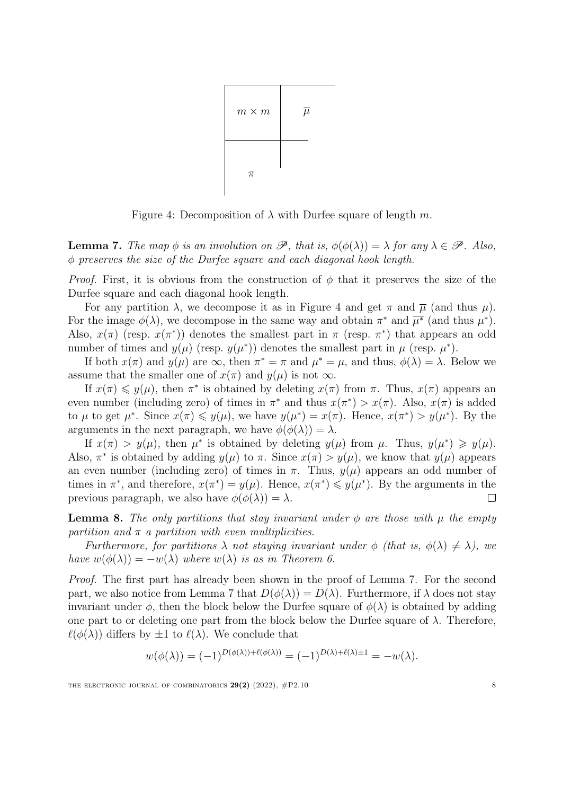<span id="page-7-0"></span>

Figure 4: Decomposition of  $\lambda$  with Durfee square of length m.

<span id="page-7-1"></span>**Lemma 7.** The map  $\phi$  is an involution on  $\mathscr{P}$ , that is,  $\phi(\phi(\lambda)) = \lambda$  for any  $\lambda \in \mathscr{P}$ . Also,  $\phi$  preserves the size of the Durfee square and each diagonal hook length.

*Proof.* First, it is obvious from the construction of  $\phi$  that it preserves the size of the Durfee square and each diagonal hook length.

For any partition  $\lambda$ , we decompose it as in Figure [4](#page-7-0) and get  $\pi$  and  $\overline{\mu}$  (and thus  $\mu$ ). For the image  $\phi(\lambda)$ , we decompose in the same way and obtain  $\pi^*$  and  $\overline{\mu^*}$  (and thus  $\mu^*$ ). Also,  $x(\pi)$  (resp.  $x(\pi^*)$ ) denotes the smallest part in  $\pi$  (resp.  $\pi^*$ ) that appears an odd number of times and  $y(\mu)$  (resp.  $y(\mu^*)$ ) denotes the smallest part in  $\mu$  (resp.  $\mu^*$ ).

If both  $x(\pi)$  and  $y(\mu)$  are  $\infty$ , then  $\pi^* = \pi$  and  $\mu^* = \mu$ , and thus,  $\phi(\lambda) = \lambda$ . Below we assume that the smaller one of  $x(\pi)$  and  $y(\mu)$  is not  $\infty$ .

If  $x(\pi) \leq y(\mu)$ , then  $\pi^*$  is obtained by deleting  $x(\pi)$  from  $\pi$ . Thus,  $x(\pi)$  appears an even number (including zero) of times in  $\pi^*$  and thus  $x(\pi^*) > x(\pi)$ . Also,  $x(\pi)$  is added to  $\mu$  to get  $\mu^*$ . Since  $x(\pi) \leq y(\mu)$ , we have  $y(\mu^*) = x(\pi)$ . Hence,  $x(\pi^*) > y(\mu^*)$ . By the arguments in the next paragraph, we have  $\phi(\phi(\lambda)) = \lambda$ .

If  $x(\pi) > y(\mu)$ , then  $\mu^*$  is obtained by deleting  $y(\mu)$  from  $\mu$ . Thus,  $y(\mu^*) \geq y(\mu)$ . Also,  $\pi^*$  is obtained by adding  $y(\mu)$  to  $\pi$ . Since  $x(\pi) > y(\mu)$ , we know that  $y(\mu)$  appears an even number (including zero) of times in  $\pi$ . Thus,  $y(\mu)$  appears an odd number of times in  $\pi^*$ , and therefore,  $x(\pi^*) = y(\mu)$ . Hence,  $x(\pi^*) \leq y(\mu^*)$ . By the arguments in the previous paragraph, we also have  $\phi(\phi(\lambda)) = \lambda$ .  $\mathbb{R}$ 

<span id="page-7-2"></span>**Lemma 8.** The only partitions that stay invariant under  $\phi$  are those with  $\mu$  the empty partition and  $\pi$  a partition with even multiplicities.

Furthermore, for partitions  $\lambda$  not staying invariant under  $\phi$  (that is,  $\phi(\lambda) \neq \lambda$ ), we have  $w(\phi(\lambda)) = -w(\lambda)$  where  $w(\lambda)$  is as in Theorem [6.](#page-6-0)

Proof. The first part has already been shown in the proof of Lemma [7.](#page-7-1) For the second part, we also notice from Lemma [7](#page-7-1) that  $D(\phi(\lambda)) = D(\lambda)$ . Furthermore, if  $\lambda$  does not stay invariant under  $\phi$ , then the block below the Durfee square of  $\phi(\lambda)$  is obtained by adding one part to or deleting one part from the block below the Durfee square of  $\lambda$ . Therefore,  $\ell(\phi(\lambda))$  differs by  $\pm 1$  to  $\ell(\lambda)$ . We conclude that

$$
w(\phi(\lambda)) = (-1)^{D(\phi(\lambda)) + \ell(\phi(\lambda))} = (-1)^{D(\lambda) + \ell(\lambda) \pm 1} = -w(\lambda).
$$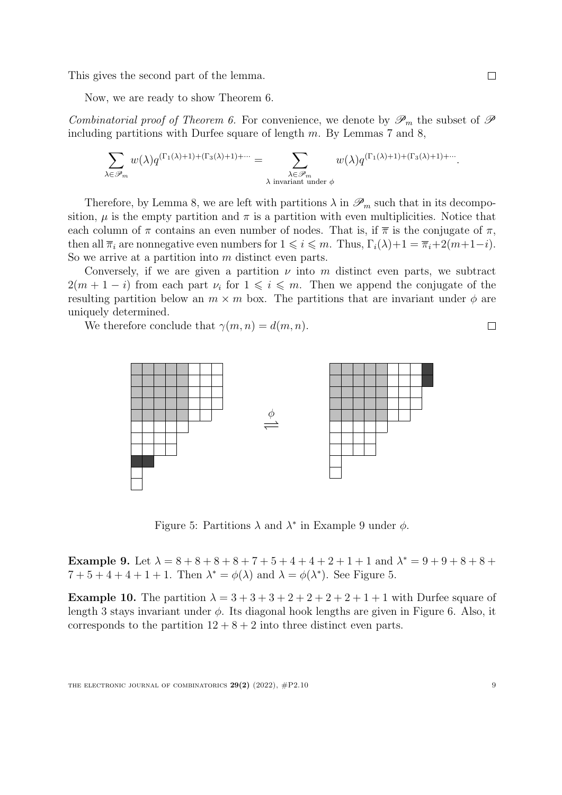This gives the second part of the lemma.

Now, we are ready to show Theorem [6.](#page-6-0)

Combinatorial proof of Theorem [6.](#page-6-0) For convenience, we denote by  $\mathscr{P}_m$  the subset of  $\mathscr{P}$ including partitions with Durfee square of length  $m$ . By Lemmas [7](#page-7-1) and [8,](#page-7-2)

$$
\sum_{\lambda \in \mathscr{P}_m} w(\lambda) q^{(\Gamma_1(\lambda)+1) + (\Gamma_3(\lambda)+1) + \cdots} = \sum_{\substack{\lambda \in \mathscr{P}_m \\ \lambda \text{ invariant under } \phi}} w(\lambda) q^{(\Gamma_1(\lambda)+1) + (\Gamma_3(\lambda)+1) + \cdots}.
$$

Therefore, by Lemma [8,](#page-7-2) we are left with partitions  $\lambda$  in  $\mathscr{P}_m$  such that in its decomposition,  $\mu$  is the empty partition and  $\pi$  is a partition with even multiplicities. Notice that each column of  $\pi$  contains an even number of nodes. That is, if  $\bar{\pi}$  is the conjugate of  $\pi$ , then all  $\overline{\pi}_i$  are nonnegative even numbers for  $1 \leq i \leq m$ . Thus,  $\Gamma_i(\lambda)+1 = \overline{\pi}_i+2(m+1-i)$ . So we arrive at a partition into m distinct even parts.

Conversely, if we are given a partition  $\nu$  into m distinct even parts, we subtract  $2(m + 1 - i)$  from each part  $\nu_i$  for  $1 \leq i \leq m$ . Then we append the conjugate of the resulting partition below an  $m \times m$  box. The partitions that are invariant under  $\phi$  are uniquely determined.

We therefore conclude that  $\gamma(m, n) = d(m, n)$ .



Figure 5: Partitions  $\lambda$  and  $\lambda^*$  in Example [9](#page-8-0) under  $\phi$ .

<span id="page-8-1"></span><span id="page-8-0"></span>Example 9. Let  $\lambda = 8 + 8 + 8 + 8 + 7 + 5 + 4 + 4 + 2 + 1 + 1$  and  $\lambda^* = 9 + 9 + 8 + 8 + 1$  $7+5+4+4+1+1$ . Then  $\lambda^* = \phi(\lambda)$  and  $\lambda = \phi(\lambda^*)$ . See Figure [5.](#page-8-1)

<span id="page-8-2"></span>**Example 10.** The partition  $\lambda = 3 + 3 + 3 + 2 + 2 + 2 + 2 + 1 + 1$  with Durfee square of length 3 stays invariant under  $\phi$ . Its diagonal hook lengths are given in Figure [6.](#page-9-1) Also, it corresponds to the partition  $12 + 8 + 2$  into three distinct even parts.

 $\Box$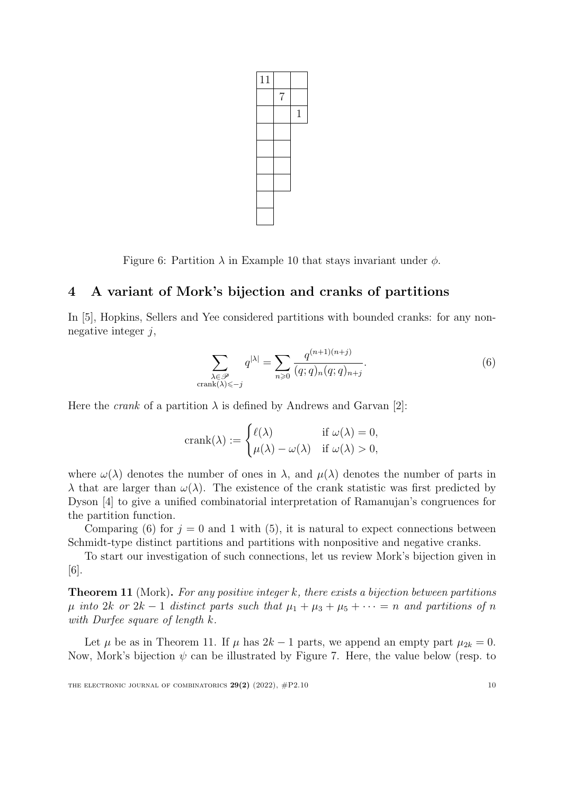

Figure 6: Partition  $\lambda$  in Example [10](#page-8-2) that stays invariant under  $\phi$ .

# <span id="page-9-1"></span><span id="page-9-0"></span>4 A variant of Mork's bijection and cranks of partitions

In [\[5\]](#page-13-2), Hopkins, Sellers and Yee considered partitions with bounded cranks: for any nonnegative integer  $j$ ,

<span id="page-9-2"></span>
$$
\sum_{\substack{\lambda \in \mathcal{P} \ \text{crank}(\lambda) \leq -j}} q^{|\lambda|} = \sum_{n \geq 0} \frac{q^{(n+1)(n+j)}}{(q;q)_n (q;q)_{n+j}}.
$$
\n
$$
(6)
$$

Here the *crank* of a partition  $\lambda$  is defined by Andrews and Garvan [\[2\]](#page-12-2):

$$
crank(\lambda) := \begin{cases} \ell(\lambda) & \text{if } \omega(\lambda) = 0, \\ \mu(\lambda) - \omega(\lambda) & \text{if } \omega(\lambda) > 0, \end{cases}
$$

where  $\omega(\lambda)$  denotes the number of ones in  $\lambda$ , and  $\mu(\lambda)$  denotes the number of parts in  $\lambda$  that are larger than  $\omega(\lambda)$ . The existence of the crank statistic was first predicted by Dyson [\[4\]](#page-13-3) to give a unified combinatorial interpretation of Ramanujan's congruences for the partition function.

Comparing [\(6\)](#page-9-2) for  $j = 0$  and 1 with [\(5\)](#page-6-1), it is natural to expect connections between Schmidt-type distinct partitions and partitions with nonpositive and negative cranks.

To start our investigation of such connections, let us review Mork's bijection given in [\[6\]](#page-13-1).

<span id="page-9-3"></span>**Theorem 11** (Mork). For any positive integer  $k$ , there exists a bijection between partitions  $\mu$  into 2k or 2k − 1 distinct parts such that  $\mu_1 + \mu_3 + \mu_5 + \cdots = n$  and partitions of n with Durfee square of length k.

Let  $\mu$  be as in Theorem [11.](#page-9-3) If  $\mu$  has  $2k-1$  parts, we append an empty part  $\mu_{2k} = 0$ . Now, Mork's bijection  $\psi$  can be illustrated by Figure [7.](#page-10-0) Here, the value below (resp. to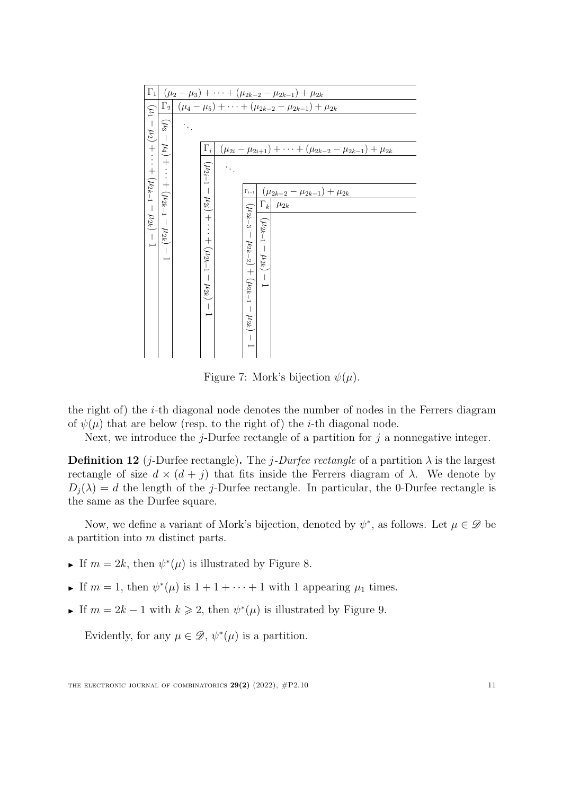

<span id="page-10-0"></span>Figure 7: Mork's bijection  $\psi(\mu)$ .

the right of) the i-th diagonal node denotes the number of nodes in the Ferrers diagram of  $\psi(\mu)$  that are below (resp. to the right of) the *i*-th diagonal node.

Next, we introduce the  $j$ -Durfee rectangle of a partition for  $j$  a nonnegative integer.

**Definition 12** (*j*-Durfee rectangle). The *j*-Durfee rectangle of a partition  $\lambda$  is the largest rectangle of size  $d \times (d + j)$  that fits inside the Ferrers diagram of  $\lambda$ . We denote by  $D_i(\lambda) = d$  the length of the j-Durfee rectangle. In particular, the 0-Durfee rectangle is the same as the Durfee square.

Now, we define a variant of Mork's bijection, denoted by  $\psi^*$ , as follows. Let  $\mu \in \mathscr{D}$  be a partition into m distinct parts.

- If  $m = 2k$ , then  $\psi^*(\mu)$  is illustrated by Figure [8.](#page-11-0)
- If  $m = 1$ , then  $\psi^*(\mu)$  is  $1 + 1 + \cdots + 1$  with 1 appearing  $\mu_1$  times.
- ► If  $m = 2k 1$  with  $k \ge 2$ , then  $\psi^*(\mu)$  is illustrated by Figure [9.](#page-12-3)

Evidently, for any  $\mu \in \mathscr{D}$ ,  $\psi^*(\mu)$  is a partition.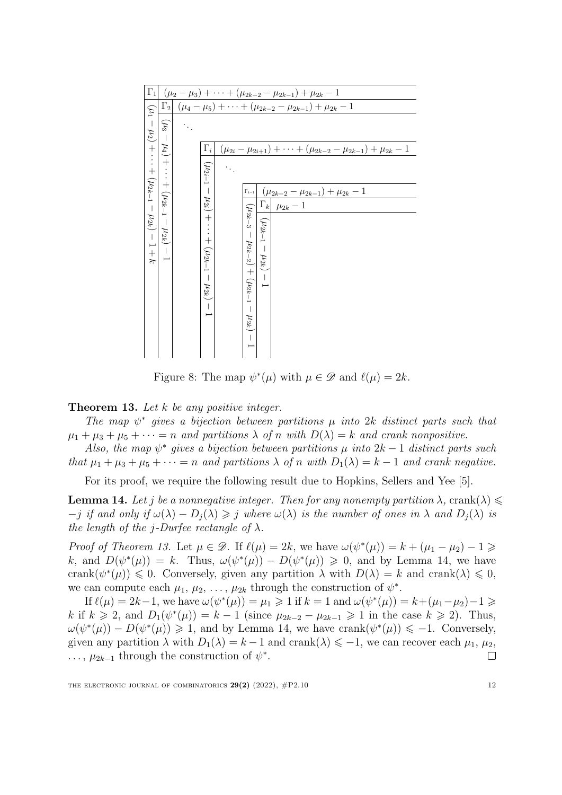

<span id="page-11-0"></span>Figure 8: The map  $\psi^*(\mu)$  with  $\mu \in \mathscr{D}$  and  $\ell(\mu) = 2k$ .

<span id="page-11-1"></span>**Theorem 13.** Let  $k$  be any positive integer.

The map  $\psi^*$  gives a bijection between partitions  $\mu$  into 2k distinct parts such that  $\mu_1 + \mu_3 + \mu_5 + \cdots = n$  and partitions  $\lambda$  of n with  $D(\lambda) = k$  and crank nonpositive.

Also, the map  $\psi^*$  gives a bijection between partitions  $\mu$  into  $2k-1$  distinct parts such that  $\mu_1 + \mu_3 + \mu_5 + \cdots = n$  and partitions  $\lambda$  of n with  $D_1(\lambda) = k - 1$  and crank negative.

For its proof, we require the following result due to Hopkins, Sellers and Yee [\[5\]](#page-13-2).

<span id="page-11-2"></span>**Lemma 14.** Let j be a nonnegative integer. Then for any nonempty partition  $\lambda$ , crank( $\lambda$ )  $-j$  if and only if  $\omega(\lambda) - D_i(\lambda) \geq j$  where  $\omega(\lambda)$  is the number of ones in  $\lambda$  and  $D_i(\lambda)$  is the length of the j-Durfee rectangle of  $\lambda$ .

*Proof of Theorem [13.](#page-11-1)* Let  $\mu \in \mathcal{D}$ . If  $\ell(\mu) = 2k$ , we have  $\omega(\psi^*(\mu)) = k + (\mu_1 - \mu_2) - 1 \geq$ k, and  $D(\psi^*(\mu)) = k$ . Thus,  $\omega(\psi^*(\mu)) - D(\psi^*(\mu)) \geq 0$ , and by Lemma [14,](#page-11-2) we have crank $(\psi^*(\mu)) \leq 0$ . Conversely, given any partition  $\lambda$  with  $D(\lambda) = k$  and crank $(\lambda) \leq 0$ , we can compute each  $\mu_1, \mu_2, \ldots, \mu_{2k}$  through the construction of  $\psi^*$ .

If  $\ell(\mu) = 2k - 1$ , we have  $\omega(\psi^*(\mu)) = \mu_1 \geq 1$  if  $k = 1$  and  $\omega(\psi^*(\mu)) = k + (\mu_1 - \mu_2) - 1 \geq 1$ k if  $k \geq 2$ , and  $D_1(\psi^*(\mu)) = k - 1$  (since  $\mu_{2k-2} - \mu_{2k-1} \geq 1$  in the case  $k \geq 2$ ). Thus,  $\omega(\psi^*(\mu)) - D(\psi^*(\mu)) \geq 1$ , and by Lemma [14,](#page-11-2) we have crank $(\psi^*(\mu)) \leq -1$ . Conversely, given any partition  $\lambda$  with  $D_1(\lambda) = k - 1$  and crank $(\lambda) \leq -1$ , we can recover each  $\mu_1, \mu_2$ , ...,  $\mu_{2k-1}$  through the construction of  $\psi^*$ .  $\Box$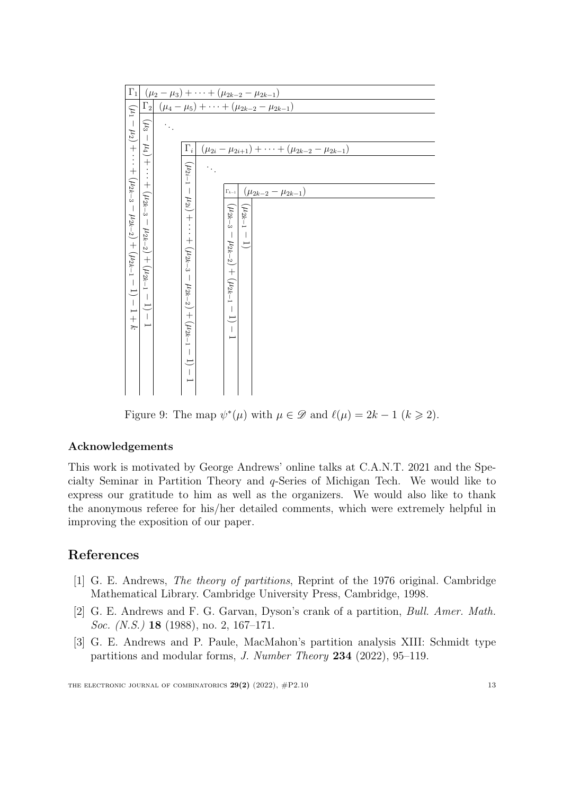| $\Gamma_1$                             |                                                             |  |                                                                                           |  |                                                 |               | $(\mu_2 - \mu_3) + \cdots + (\mu_{2k-2} - \mu_{2k-1})$         |
|----------------------------------------|-------------------------------------------------------------|--|-------------------------------------------------------------------------------------------|--|-------------------------------------------------|---------------|----------------------------------------------------------------|
| $(\mu_1$                               | $\Gamma_2$                                                  |  |                                                                                           |  |                                                 |               | $(\mu_4 - \mu_5) + \cdots + (\mu_{2k-2} - \mu_{2k-1})$         |
|                                        | $(\mu_3$                                                    |  |                                                                                           |  |                                                 |               |                                                                |
|                                        | $\mu_4)$                                                    |  | $\Gamma_i$                                                                                |  |                                                 |               | $(\mu_{2i} - \mu_{2i+1}) + \cdots + (\mu_{2k-2} - \mu_{2k-1})$ |
| $-\mu_2$ ) + $\cdots$ + ( $\mu_{2k-3}$ | $+ \cdot \cdot + (\mu_{2k-3}$                               |  | $(\mu_{2i-1})$<br>$\mathcal{L}_{\mathcal{A}}$                                             |  |                                                 |               |                                                                |
|                                        |                                                             |  |                                                                                           |  | $\Gamma_{k-1}$                                  |               | $(\mu_{2k-2} - \mu_{2k-1})$                                    |
| $ \mu_{2k-2}$ ) + $(\mu_{2k-1}-1)-1+k$ | $(1/2k-2)$<br>$+$ $(\mu_{2k-1}$<br>$\overline{\phantom{a}}$ |  | $\mu_{2i})$<br>$^{+}$<br>$\cdots + (\mu_{2k-3})$<br>$\mu_{2k-2}$<br>$+$<br>$(\mu_{2k-1})$ |  | $(\mu_{2k-3})$<br>$(\mu_{2k-2}) + (\mu_{2k-1})$ | $(\mu_{2k-1}$ |                                                                |

<span id="page-12-3"></span>Figure 9: The map  $\psi^*(\mu)$  with  $\mu \in \mathscr{D}$  and  $\ell(\mu) = 2k - 1$   $(k \geq 2)$ .

## Acknowledgements

This work is motivated by George Andrews' online talks at C.A.N.T. 2021 and the Specialty Seminar in Partition Theory and  $q$ -Series of Michigan Tech. We would like to express our gratitude to him as well as the organizers. We would also like to thank the anonymous referee for his/her detailed comments, which were extremely helpful in improving the exposition of our paper.

# References

- <span id="page-12-1"></span>[1] G. E. Andrews, The theory of partitions, Reprint of the 1976 original. Cambridge Mathematical Library. Cambridge University Press, Cambridge, 1998.
- <span id="page-12-2"></span>[2] G. E. Andrews and F. G. Garvan, Dyson's crank of a partition, Bull. Amer. Math. Soc. (N.S.) **18** (1988), no. 2, 167–171.
- <span id="page-12-0"></span>[3] G. E. Andrews and P. Paule, MacMahon's partition analysis XIII: Schmidt type partitions and modular forms, J. Number Theory 234 (2022), 95–119.